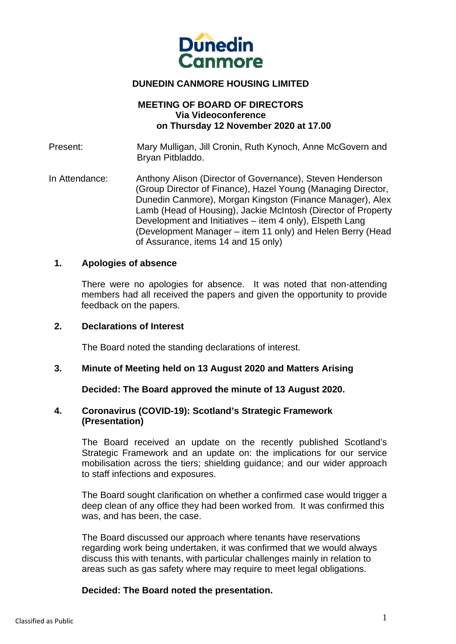

# **DUNEDIN CANMORE HOUSING LIMITED**

## **MEETING OF BOARD OF DIRECTORS Via Videoconference on Thursday 12 November 2020 at 17.00**

Present: Mary Mulligan, Jill Cronin, Ruth Kynoch, Anne McGovern and Bryan Pitbladdo.

In Attendance: Anthony Alison (Director of Governance), Steven Henderson (Group Director of Finance), Hazel Young (Managing Director, Dunedin Canmore), Morgan Kingston (Finance Manager), Alex Lamb (Head of Housing), Jackie McIntosh (Director of Property Development and Initiatives – item 4 only), Elspeth Lang (Development Manager – item 11 only) and Helen Berry (Head of Assurance, items 14 and 15 only)

#### **1. Apologies of absence**

There were no apologies for absence. It was noted that non-attending members had all received the papers and given the opportunity to provide feedback on the papers.

### **2. Declarations of Interest**

The Board noted the standing declarations of interest.

#### **3. Minute of Meeting held on 13 August 2020 and Matters Arising**

**Decided: The Board approved the minute of 13 August 2020.**

### **4. Coronavirus (COVID-19): Scotland's Strategic Framework (Presentation)**

The Board received an update on the recently published Scotland's Strategic Framework and an update on: the implications for our service mobilisation across the tiers; shielding guidance; and our wider approach to staff infections and exposures.

 The Board sought clarification on whether a confirmed case would trigger a deep clean of any office they had been worked from. It was confirmed this was, and has been, the case.

The Board discussed our approach where tenants have reservations regarding work being undertaken, it was confirmed that we would always discuss this with tenants, with particular challenges mainly in relation to areas such as gas safety where may require to meet legal obligations.

# **Decided: The Board noted the presentation.**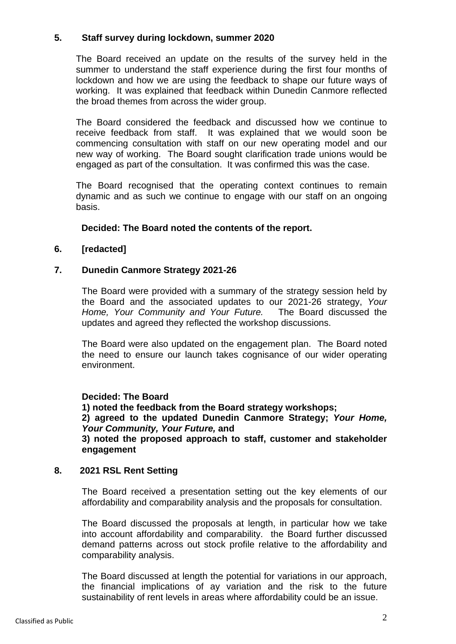# **5. Staff survey during lockdown, summer 2020**

The Board received an update on the results of the survey held in the summer to understand the staff experience during the first four months of lockdown and how we are using the feedback to shape our future ways of working. It was explained that feedback within Dunedin Canmore reflected the broad themes from across the wider group.

The Board considered the feedback and discussed how we continue to receive feedback from staff. It was explained that we would soon be commencing consultation with staff on our new operating model and our new way of working. The Board sought clarification trade unions would be engaged as part of the consultation. It was confirmed this was the case.

The Board recognised that the operating context continues to remain dynamic and as such we continue to engage with our staff on an ongoing basis.

### **Decided: The Board noted the contents of the report.**

### **6. [redacted]**

### **7. Dunedin Canmore Strategy 2021-26**

The Board were provided with a summary of the strategy session held by the Board and the associated updates to our 2021-26 strategy, *Your Home, Your Community and Your Future.* The Board discussed the updates and agreed they reflected the workshop discussions.

The Board were also updated on the engagement plan. The Board noted the need to ensure our launch takes cognisance of our wider operating environment.

#### **Decided: The Board**

**1) noted the feedback from the Board strategy workshops;** 

**2) agreed to the updated Dunedin Canmore Strategy;** *Your Home, Your Community, Your Future,* **and** 

**3) noted the proposed approach to staff, customer and stakeholder engagement** 

#### **8. 2021 RSL Rent Setting**

The Board received a presentation setting out the key elements of our affordability and comparability analysis and the proposals for consultation.

The Board discussed the proposals at length, in particular how we take into account affordability and comparability. the Board further discussed demand patterns across out stock profile relative to the affordability and comparability analysis.

The Board discussed at length the potential for variations in our approach, the financial implications of ay variation and the risk to the future sustainability of rent levels in areas where affordability could be an issue.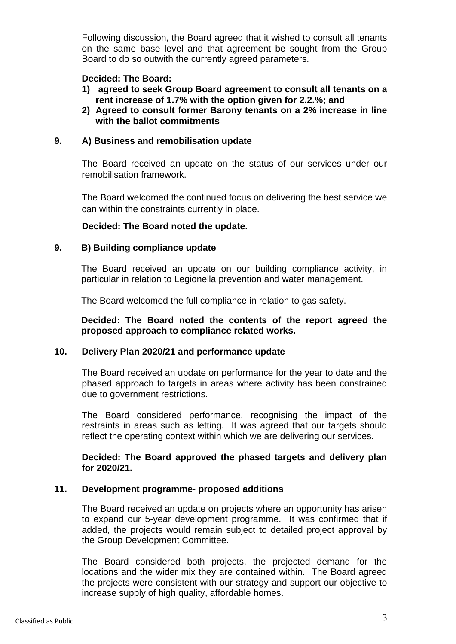Following discussion, the Board agreed that it wished to consult all tenants on the same base level and that agreement be sought from the Group Board to do so outwith the currently agreed parameters.

# **Decided: The Board:**

- **1) agreed to seek Group Board agreement to consult all tenants on a rent increase of 1.7% with the option given for 2.2.%; and**
- **2) Agreed to consult former Barony tenants on a 2% increase in line with the ballot commitments**

# **9. A) Business and remobilisation update**

The Board received an update on the status of our services under our remobilisation framework.

The Board welcomed the continued focus on delivering the best service we can within the constraints currently in place.

# **Decided: The Board noted the update.**

# **9. B) Building compliance update**

The Board received an update on our building compliance activity, in particular in relation to Legionella prevention and water management.

The Board welcomed the full compliance in relation to gas safety.

**Decided: The Board noted the contents of the report agreed the proposed approach to compliance related works.** 

# **10. Delivery Plan 2020/21 and performance update**

The Board received an update on performance for the year to date and the phased approach to targets in areas where activity has been constrained due to government restrictions.

The Board considered performance, recognising the impact of the restraints in areas such as letting. It was agreed that our targets should reflect the operating context within which we are delivering our services.

### **Decided: The Board approved the phased targets and delivery plan for 2020/21.**

# **11. Development programme- proposed additions**

The Board received an update on projects where an opportunity has arisen to expand our 5-year development programme. It was confirmed that if added, the projects would remain subject to detailed project approval by the Group Development Committee.

The Board considered both projects, the projected demand for the locations and the wider mix they are contained within. The Board agreed the projects were consistent with our strategy and support our objective to increase supply of high quality, affordable homes.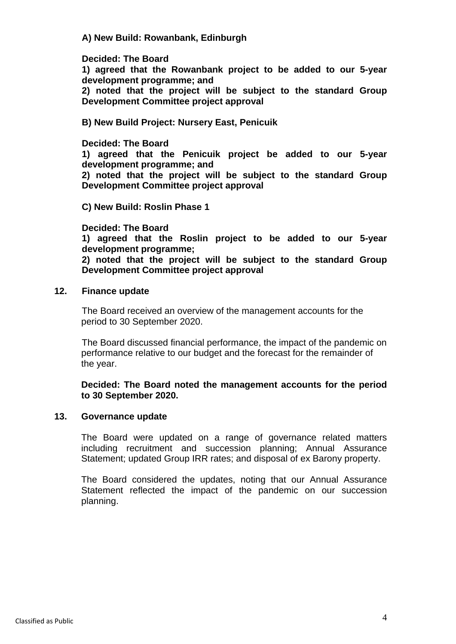## **A) New Build: Rowanbank, Edinburgh**

### **Decided: The Board**

**1) agreed that the Rowanbank project to be added to our 5-year development programme; and** 

**2) noted that the project will be subject to the standard Group Development Committee project approval** 

### **B) New Build Project: Nursery East, Penicuik**

#### **Decided: The Board**

**1) agreed that the Penicuik project be added to our 5-year development programme; and** 

**2) noted that the project will be subject to the standard Group Development Committee project approval** 

**C) New Build: Roslin Phase 1** 

### **Decided: The Board**

**1) agreed that the Roslin project to be added to our 5-year development programme;** 

**2) noted that the project will be subject to the standard Group Development Committee project approval**

#### **12. Finance update**

The Board received an overview of the management accounts for the period to 30 September 2020.

The Board discussed financial performance, the impact of the pandemic on performance relative to our budget and the forecast for the remainder of the year.

## **Decided: The Board noted the management accounts for the period to 30 September 2020.**

#### **13. Governance update**

The Board were updated on a range of governance related matters including recruitment and succession planning; Annual Assurance Statement; updated Group IRR rates; and disposal of ex Barony property.

 The Board considered the updates, noting that our Annual Assurance Statement reflected the impact of the pandemic on our succession planning.